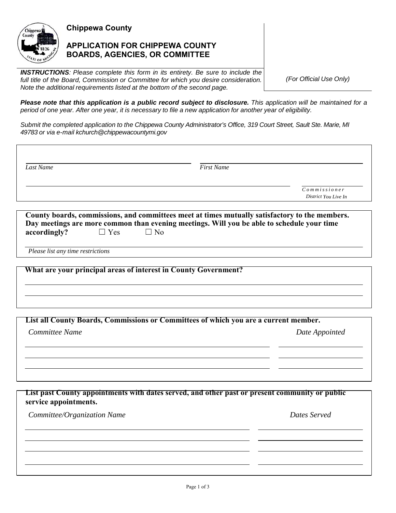

**Chippewa County** 

## **APPLICATION FOR CHIPPEWA COUNTY BOARDS, AGENCIES, OR COMMITTEE**

*INSTRUCTIONS: Please complete this form in its entirety. Be sure to include the full title of the Board, Commission or Committee for which you desire consideration. Note the additional requirements listed at the bottom of the second page.*

*(For Official Use Only)*

*Please note that this application is a public record subject to disclosure. This application will be maintained for a period of one year. After one year, it is necessary to file a new application for another year of eligibility.*

*Submit the completed application to the Chippewa County Administrator's Office, 319 Court Street, Sault Ste. Marie, MI 49783 or via e-mail kchurch@chippewacountymi.gov*

| Last Name | <b>First Name</b> |                      |
|-----------|-------------------|----------------------|
|           |                   | $Common$ m is sioner |
|           |                   | District You Live In |

| County boards, commissions, and committees meet at times mutually satisfactory to the members. |            |           |                                                                                            |  |  |  |  |
|------------------------------------------------------------------------------------------------|------------|-----------|--------------------------------------------------------------------------------------------|--|--|--|--|
|                                                                                                |            |           | Day meetings are more common than evening meetings. Will you be able to schedule your time |  |  |  |  |
| accordingly?                                                                                   | $\Box$ Yes | $\Box$ No |                                                                                            |  |  |  |  |

*Please list any time restrictions*

**What are your principal areas of interest in County Government?**

**List all County Boards, Commissions or Committees of which you are a current member.**

*Committee Name Date Appointed*

**List past County appointments with dates served, and other past or present community or public service appointments.**

*Committee/Organization Name*  $D$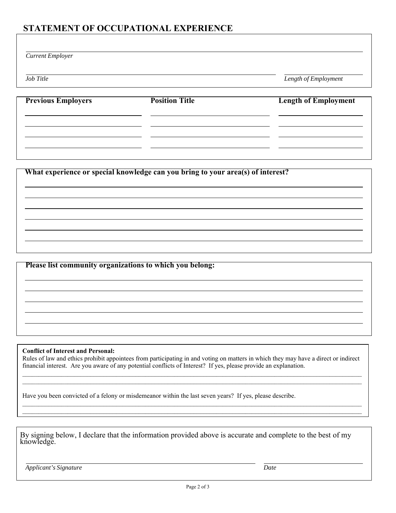## **STATEMENT OF OCCUPATIONAL EXPERIENCE**

| <b>Current Employer</b>   |                       |                             |
|---------------------------|-----------------------|-----------------------------|
| Job Title                 |                       | Length of Employment        |
| <b>Previous Employers</b> | <b>Position Title</b> | <b>Length of Employment</b> |

**What experience or special knowledge can you bring to your area(s) of interest?**

**Please list community organizations to which you belong:**

**Conflict of Interest and Personal:** 

Rules of law and ethics prohibit appointees from participating in and voting on matters in which they may have a direct or indirect financial interest. Are you aware of any potential conflicts of Interest? If yes, please provide an explanation.

 $\mathcal{L}_\mathcal{L} = \mathcal{L}_\mathcal{L} = \mathcal{L}_\mathcal{L} = \mathcal{L}_\mathcal{L} = \mathcal{L}_\mathcal{L} = \mathcal{L}_\mathcal{L} = \mathcal{L}_\mathcal{L} = \mathcal{L}_\mathcal{L} = \mathcal{L}_\mathcal{L} = \mathcal{L}_\mathcal{L} = \mathcal{L}_\mathcal{L} = \mathcal{L}_\mathcal{L} = \mathcal{L}_\mathcal{L} = \mathcal{L}_\mathcal{L} = \mathcal{L}_\mathcal{L} = \mathcal{L}_\mathcal{L} = \mathcal{L}_\mathcal{L}$ 

 $\mathcal{L}_\mathcal{L} = \mathcal{L}_\mathcal{L} = \mathcal{L}_\mathcal{L} = \mathcal{L}_\mathcal{L} = \mathcal{L}_\mathcal{L} = \mathcal{L}_\mathcal{L} = \mathcal{L}_\mathcal{L} = \mathcal{L}_\mathcal{L} = \mathcal{L}_\mathcal{L} = \mathcal{L}_\mathcal{L} = \mathcal{L}_\mathcal{L} = \mathcal{L}_\mathcal{L} = \mathcal{L}_\mathcal{L} = \mathcal{L}_\mathcal{L} = \mathcal{L}_\mathcal{L} = \mathcal{L}_\mathcal{L} = \mathcal{L}_\mathcal{L}$  $\mathcal{L}_\mathcal{L} = \mathcal{L}_\mathcal{L} = \mathcal{L}_\mathcal{L} = \mathcal{L}_\mathcal{L} = \mathcal{L}_\mathcal{L} = \mathcal{L}_\mathcal{L} = \mathcal{L}_\mathcal{L} = \mathcal{L}_\mathcal{L} = \mathcal{L}_\mathcal{L} = \mathcal{L}_\mathcal{L} = \mathcal{L}_\mathcal{L} = \mathcal{L}_\mathcal{L} = \mathcal{L}_\mathcal{L} = \mathcal{L}_\mathcal{L} = \mathcal{L}_\mathcal{L} = \mathcal{L}_\mathcal{L} = \mathcal{L}_\mathcal{L}$ 

Have you been convicted of a felony or misdemeanor within the last seven years? If yes, please describe.

By signing below, I declare that the information provided above is accurate and complete to the best of my knowledge.

*Applicant's Signature Date*